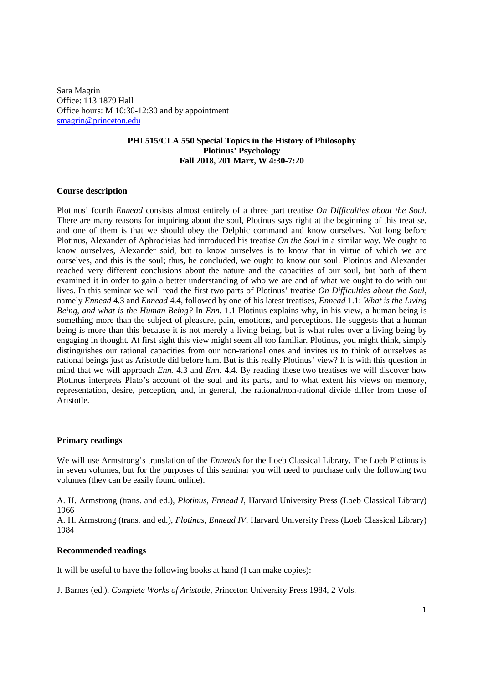Sara Magrin Office: 113 1879 Hall Office hours: M 10:30-12:30 and by appointment smagrin@princeton.edu

# **PHI 515/CLA 550 Special Topics in the History of Philosophy Plotinus' Psychology Fall 2018, 201 Marx, W 4:30-7:20**

## **Course description**

Plotinus' fourth *Ennead* consists almost entirely of a three part treatise *On Difficulties about the Soul*. There are many reasons for inquiring about the soul, Plotinus says right at the beginning of this treatise, and one of them is that we should obey the Delphic command and know ourselves. Not long before Plotinus, Alexander of Aphrodisias had introduced his treatise *On the Soul* in a similar way. We ought to know ourselves, Alexander said, but to know ourselves is to know that in virtue of which we are ourselves, and this is the soul; thus, he concluded, we ought to know our soul. Plotinus and Alexander reached very different conclusions about the nature and the capacities of our soul, but both of them examined it in order to gain a better understanding of who we are and of what we ought to do with our lives. In this seminar we will read the first two parts of Plotinus' treatise *On Difficulties about the Soul*, namely *Ennead* 4.3 and *Ennead* 4.4, followed by one of his latest treatises, *Ennead* 1.1: *What is the Living Being, and what is the Human Being?* In *Enn.* 1.1 Plotinus explains why, in his view, a human being is something more than the subject of pleasure, pain, emotions, and perceptions. He suggests that a human being is more than this because it is not merely a living being, but is what rules over a living being by engaging in thought. At first sight this view might seem all too familiar. Plotinus, you might think, simply distinguishes our rational capacities from our non-rational ones and invites us to think of ourselves as rational beings just as Aristotle did before him. But is this really Plotinus' view? It is with this question in mind that we will approach *Enn.* 4.3 and *Enn.* 4.4. By reading these two treatises we will discover how Plotinus interprets Plato's account of the soul and its parts, and to what extent his views on memory, representation, desire, perception, and, in general, the rational/non-rational divide differ from those of Aristotle.

#### **Primary readings**

We will use Armstrong's translation of the *Enneads* for the Loeb Classical Library. The Loeb Plotinus is in seven volumes, but for the purposes of this seminar you will need to purchase only the following two volumes (they can be easily found online):

A. H. Armstrong (trans. and ed.), *Plotinus, Ennead I*, Harvard University Press (Loeb Classical Library) 1966

A. H. Armstrong (trans. and ed.), *Plotinus, Ennead IV*, Harvard University Press (Loeb Classical Library) 1984

## **Recommended readings**

It will be useful to have the following books at hand (I can make copies):

J. Barnes (ed.), *Complete Works of Aristotle*, Princeton University Press 1984, 2 Vols.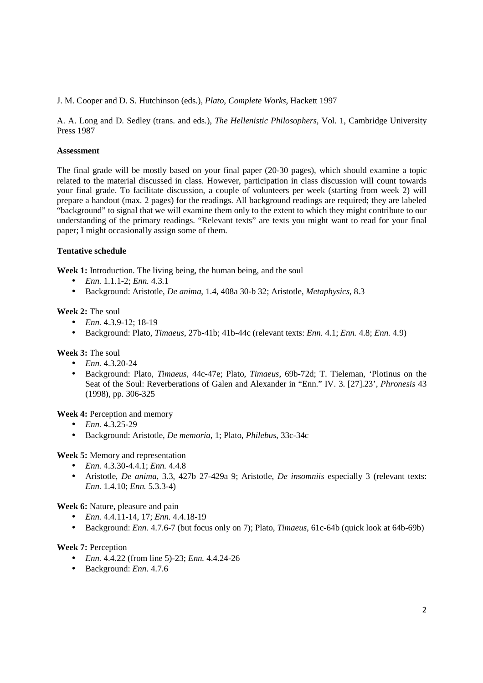J. M. Cooper and D. S. Hutchinson (eds.), *Plato, Complete Works*, Hackett 1997

A. A. Long and D. Sedley (trans. and eds.), *The Hellenistic Philosophers*, Vol. 1, Cambridge University Press 1987

# **Assessment**

The final grade will be mostly based on your final paper (20-30 pages), which should examine a topic related to the material discussed in class. However, participation in class discussion will count towards your final grade. To facilitate discussion, a couple of volunteers per week (starting from week 2) will prepare a handout (max. 2 pages) for the readings. All background readings are required; they are labeled "background" to signal that we will examine them only to the extent to which they might contribute to our understanding of the primary readings. "Relevant texts" are texts you might want to read for your final paper; I might occasionally assign some of them.

# **Tentative schedule**

Week 1: Introduction. The living being, the human being, and the soul

- *Enn.* 1.1.1-2; *Enn.* 4.3.1
- Background: Aristotle, *De anima*, 1.4, 408a 30-b 32; Aristotle, *Metaphysics*, 8.3

# **Week 2:** The soul

- *Enn.* 4.3.9-12; 18-19
- Background: Plato, *Timaeus*, 27b-41b; 41b-44c (relevant texts: *Enn.* 4.1; *Enn.* 4.8; *Enn.* 4.9)

## **Week 3:** The soul

- *Enn.* 4.3.20-24
- Background: Plato, *Timaeus,* 44c-47e; Plato, *Timaeus*, 69b-72d; T. Tieleman, 'Plotinus on the Seat of the Soul: Reverberations of Galen and Alexander in "Enn." IV. 3. [27].23', *Phronesis* 43 (1998), pp. 306-325

**Week 4:** Perception and memory

- *Enn.* 4.3.25-29
- Background: Aristotle, *De memoria*, 1; Plato, *Philebus*, 33c-34c

**Week 5:** Memory and representation

- *Enn.* 4.3.30-4.4.1; *Enn.* 4.4.8
- Aristotle, *De anima*, 3.3, 427b 27-429a 9; Aristotle, *De insomniis* especially 3 (relevant texts: *Enn.* 1.4.10; *Enn.* 5.3.3-4)

**Week 6:** Nature, pleasure and pain

- *Enn.* 4.4.11-14, 17; *Enn.* 4.4.18-19
- Background: *Enn.* 4.7.6-7 (but focus only on 7); Plato, *Timaeus*, 61c-64b (quick look at 64b-69b)

## **Week 7:** Perception

- *Enn.* 4.4.22 (from line 5)-23; *Enn.* 4.4.24-26
- Background: *Enn*. 4.7.6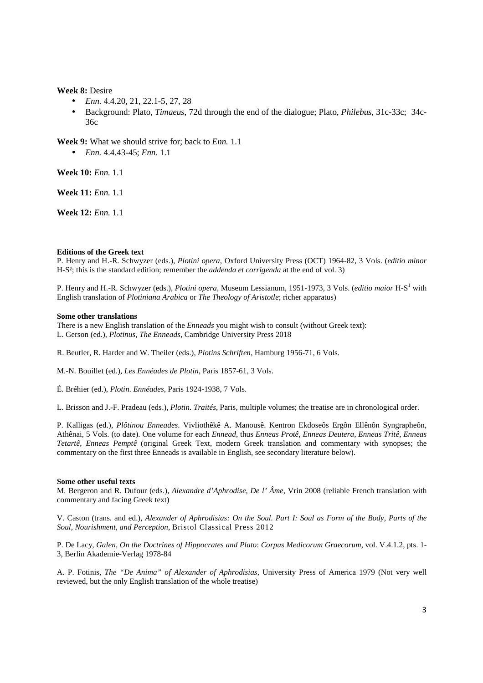### **Week 8:** Desire

- *Enn.* 4.4.20, 21, 22.1-5, 27, 28
- Background: Plato, *Timaeus*, 72d through the end of the dialogue; Plato, *Philebus*, 31c-33c; 34c-36c

**Week 9:** What we should strive for; back to *Enn.* 1.1

• *Enn.* 4.4.43-45; *Enn.* 1.1

**Week 10:** *Enn.* 1.1

**Week 11:** *Enn.* 1.1

**Week 12:** *Enn.* 1.1

#### **Editions of the Greek text**

P. Henry and H.-R. Schwyzer (eds.), *Plotini opera*, Oxford University Press (OCT) 1964-82, 3 Vols. (*editio minor*  H-S²; this is the standard edition; remember the *addenda et corrigenda* at the end of vol. 3)

P. Henry and H.-R. Schwyzer (eds.), *Plotini opera*, Museum Lessianum, 1951-1973, 3 Vols. (*editio maior* H-S<sup>1</sup> with English translation of *Plotiniana Arabica* or *The Theology of Aristotle*; richer apparatus)

#### **Some other translations**

There is a new English translation of the *Enneads* you might wish to consult (without Greek text): L. Gerson (ed.), *Plotinus, The Enneads*, Cambridge University Press 2018

R. Beutler, R. Harder and W. Theiler (eds.), *Plotins Schriften*, Hamburg 1956-71, 6 Vols.

M.-N. Bouillet (ed.), *Les Ennéades de Plotin*, Paris 1857-61, 3 Vols.

É. Bréhier (ed.), *Plotin. Ennéades*, Paris 1924-1938, 7 Vols.

L. Brisson and J.-F. Pradeau (eds.), *Plotin. Traités*, Paris, multiple volumes; the treatise are in chronological order.

P. Kalligas (ed.), *Plôtinou Enneades*. Vivliothêkê A. Manousê. Kentron Ekdoseôs Ergôn Ellênôn Syngrapheôn, Athênai, 5 Vols. (to date). One volume for each *Ennead*, thus *Enneas Protê, Enneas Deutera, Enneas Tritê, Enneas Tetartê, Enneas Pemptê* (original Greek Text, modern Greek translation and commentary with synopses; the commentary on the first three Enneads is available in English, see secondary literature below).

#### **Some other useful texts**

M. Bergeron and R. Dufour (eds.), *Alexandre d'Aphrodise, De l' Âme*, Vrin 2008 (reliable French translation with commentary and facing Greek text)

V. Caston (trans. and ed.), *Alexander of Aphrodisias: On the Soul. Part I: Soul as Form of the Body, Parts of the Soul, Nourishment, and Perception*, Bristol Classical Press 2012

P. De Lacy, *Galen, On the Doctrines of Hippocrates and Plato*: *Corpus Medicorum Graecorum*, vol. V.4.1.2, pts. 1- 3, Berlin Akademie-Verlag 1978-84

A. P. Fotinis, *The "De Anima" of Alexander of Aphrodisias*, University Press of America 1979 (Not very well reviewed, but the only English translation of the whole treatise)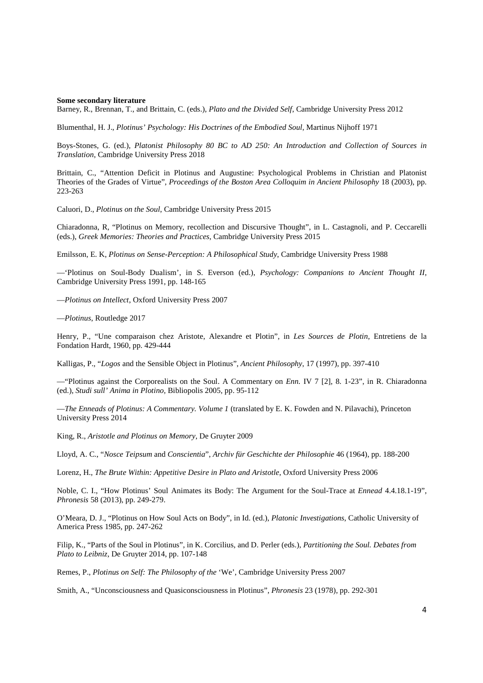#### **Some secondary literature**

Barney, R., Brennan, T., and Brittain, C. (eds.), *Plato and the Divided Self*, Cambridge University Press 2012

Blumenthal, H. J., *Plotinus' Psychology: His Doctrines of the Embodied Soul*, Martinus Nijhoff 1971

Boys-Stones, G. (ed.), *Platonist Philosophy 80 BC to AD 250: An Introduction and Collection of Sources in Translation*, Cambridge University Press 2018

Brittain, C., "Attention Deficit in Plotinus and Augustine: Psychological Problems in Christian and Platonist Theories of the Grades of Virtue", *Proceedings of the Boston Area Colloquim in Ancient Philosophy* 18 (2003), pp. 223-263

Caluori, D., *Plotinus on the Soul*, Cambridge University Press 2015

Chiaradonna, R, "Plotinus on Memory, recollection and Discursive Thought", in L. Castagnoli, and P. Ceccarelli (eds.), *Greek Memories: Theories and Practices*, Cambridge University Press 2015

Emilsson, E. K, *Plotinus on Sense-Perception: A Philosophical Study*, Cambridge University Press 1988

—'Plotinus on Soul-Body Dualism', in S. Everson (ed.), *Psychology: Companions to Ancient Thought II*, Cambridge University Press 1991, pp. 148-165

—*Plotinus on Intellect*, Oxford University Press 2007

—*Plotinus*, Routledge 2017

Henry, P., "Une comparaison chez Aristote, Alexandre et Plotin", in *Les Sources de Plotin*, Entretiens de la Fondation Hardt, 1960, pp. 429-444

Kalligas, P., "*Logos* and the Sensible Object in Plotinus", *Ancient Philosophy*, 17 (1997), pp. 397-410

—"Plotinus against the Corporealists on the Soul. A Commentary on *Enn.* IV 7 [2], 8. 1-23", in R. Chiaradonna (ed.), *Studi sull' Anima in Plotino*, Bibliopolis 2005, pp. 95-112

—*The Enneads of Plotinus: A Commentary. Volume 1* (translated by E. K. Fowden and N. Pilavachi), Princeton University Press 2014

King, R., *Aristotle and Plotinus on Memory*, De Gruyter 2009

Lloyd, A. C., "*Nosce Teipsum* and *Conscientia*", *Archiv für Geschichte der Philosophie* 46 (1964), pp. 188-200

Lorenz, H., *The Brute Within: Appetitive Desire in Plato and Aristotle*, Oxford University Press 2006

Noble, C. I., "How Plotinus' Soul Animates its Body: The Argument for the Soul-Trace at *Ennead* 4.4.18.1-19", *Phronesis* 58 (2013), pp. 249-279.

O'Meara, D. J., "Plotinus on How Soul Acts on Body", in Id. (ed.), *Platonic Investigations*, Catholic University of America Press 1985, pp. 247-262

Filip, K., "Parts of the Soul in Plotinus", in K. Corcilius, and D. Perler (eds.), *Partitioning the Soul. Debates from Plato to Leibniz*, De Gruyter 2014, pp. 107-148

Remes, P., *Plotinus on Self: The Philosophy of the* 'We', Cambridge University Press 2007

Smith, A., "Unconsciousness and Quasiconsciousness in Plotinus", *Phronesis* 23 (1978), pp. 292-301